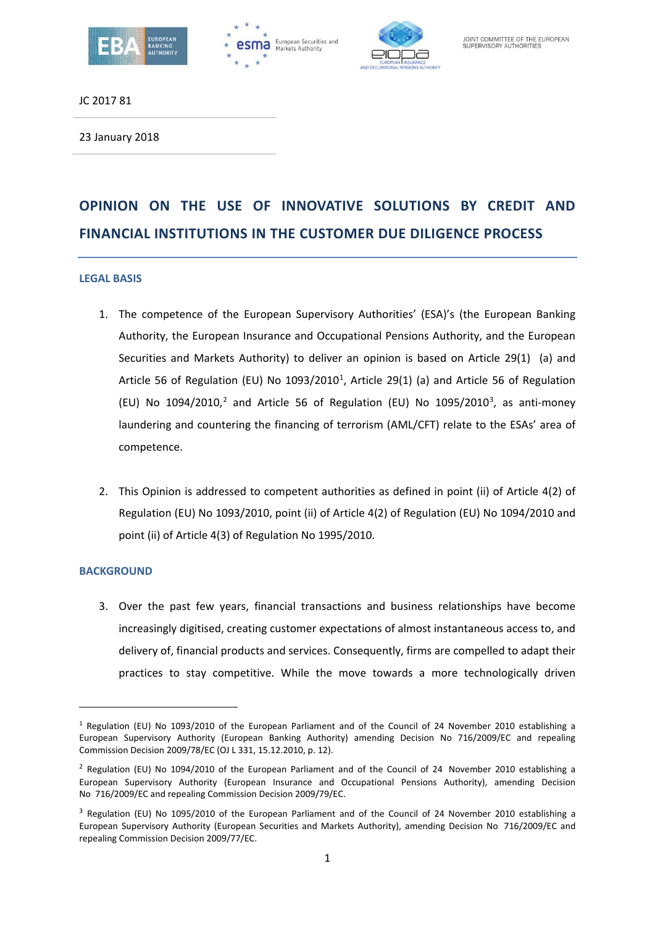





JC 2017 81

23 January 2018

# **OPINION ON THE USE OF INNOVATIVE SOLUTIONS BY CREDIT AND FINANCIAL INSTITUTIONS IN THE CUSTOMER DUE DILIGENCE PROCESS**

#### **LEGAL BASIS**

- 1. The competence of the European Supervisory Authorities' (ESA)'s (the European Banking Authority, the European Insurance and Occupational Pensions Authority, and the European Securities and Markets Authority) to deliver an opinion is based on Article 29(1) (a) and Article 56 of Regulation (EU) No  $1093/2010^1$  $1093/2010^1$ , Article 29(1) (a) and Article 56 of Regulation (EU) No 1094/[2](#page-0-1)010,<sup>2</sup> and Article 56 of Regulation (EU) No 1095/2010<sup>[3](#page-0-2)</sup>, as anti-money laundering and countering the financing of terrorism (AML/CFT) relate to the ESAs' area of competence.
- 2. This Opinion is addressed to competent authorities as defined in point (ii) of Article 4(2) of Regulation (EU) No 1093/2010, point (ii) of Article 4(2) of Regulation (EU) No 1094/2010 and point (ii) of Article 4(3) of Regulation No 1995/2010.

#### **BACKGROUND**

**.** 

3. Over the past few years, financial transactions and business relationships have become increasingly digitised, creating customer expectations of almost instantaneous access to, and delivery of, financial products and services. Consequently, firms are compelled to adapt their practices to stay competitive. While the move towards a more technologically driven

<span id="page-0-0"></span><sup>1</sup> Regulation (EU) No 1093/2010 of the European Parliament and of the Council of 24 November 2010 establishing a European Supervisory Authority (European Banking Authority) amending Decision No 716/2009/EC and repealing Commission Decision 2009/78/EC (OJ L 331, 15.12.2010, p. 12).

<span id="page-0-1"></span><sup>&</sup>lt;sup>2</sup> Regulation (EU) No 1094/2010 of the European Parliament and of the Council of 24 November 2010 establishing a European Supervisory Authority (European Insurance and Occupational Pensions Authority), amending Decision No 716/2009/EC and repealing Commission Decision 2009/79/EC.

<span id="page-0-2"></span><sup>&</sup>lt;sup>3</sup> Regulation (EU) No 1095/2010 of the European Parliament and of the Council of 24 November 2010 establishing a European Supervisory Authority (European Securities and Markets Authority), amending Decision No 716/2009/EC and repealing Commission Decision 2009/77/EC.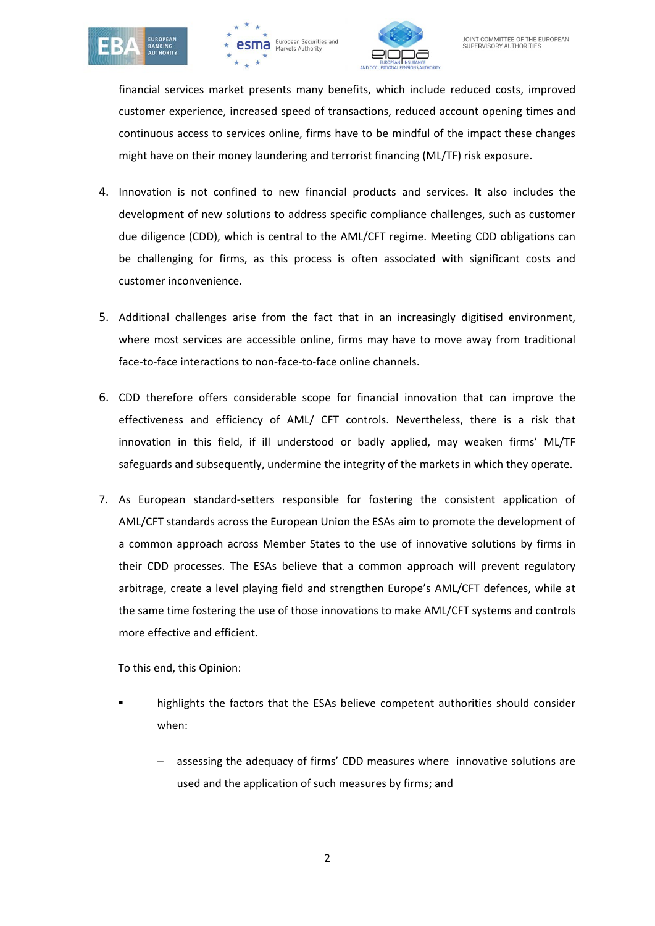





financial services market presents many benefits, which include reduced costs, improved customer experience, increased speed of transactions, reduced account opening times and continuous access to services online, firms have to be mindful of the impact these changes might have on their money laundering and terrorist financing (ML/TF) risk exposure.

- 4. Innovation is not confined to new financial products and services. It also includes the development of new solutions to address specific compliance challenges, such as customer due diligence (CDD), which is central to the AML/CFT regime. Meeting CDD obligations can be challenging for firms, as this process is often associated with significant costs and customer inconvenience.
- 5. Additional challenges arise from the fact that in an increasingly digitised environment, where most services are accessible online, firms may have to move away from traditional face-to-face interactions to non-face-to-face online channels.
- 6. CDD therefore offers considerable scope for financial innovation that can improve the effectiveness and efficiency of AML/ CFT controls. Nevertheless, there is a risk that innovation in this field, if ill understood or badly applied, may weaken firms' ML/TF safeguards and subsequently, undermine the integrity of the markets in which they operate.
- 7. As European standard-setters responsible for fostering the consistent application of AML/CFT standards across the European Union the ESAs aim to promote the development of a common approach across Member States to the use of innovative solutions by firms in their CDD processes. The ESAs believe that a common approach will prevent regulatory arbitrage, create a level playing field and strengthen Europe's AML/CFT defences, while at the same time fostering the use of those innovations to make AML/CFT systems and controls more effective and efficient.

To this end, this Opinion:

- highlights the factors that the ESAs believe competent authorities should consider when:
	- assessing the adequacy of firms' CDD measures where innovative solutions are used and the application of such measures by firms; and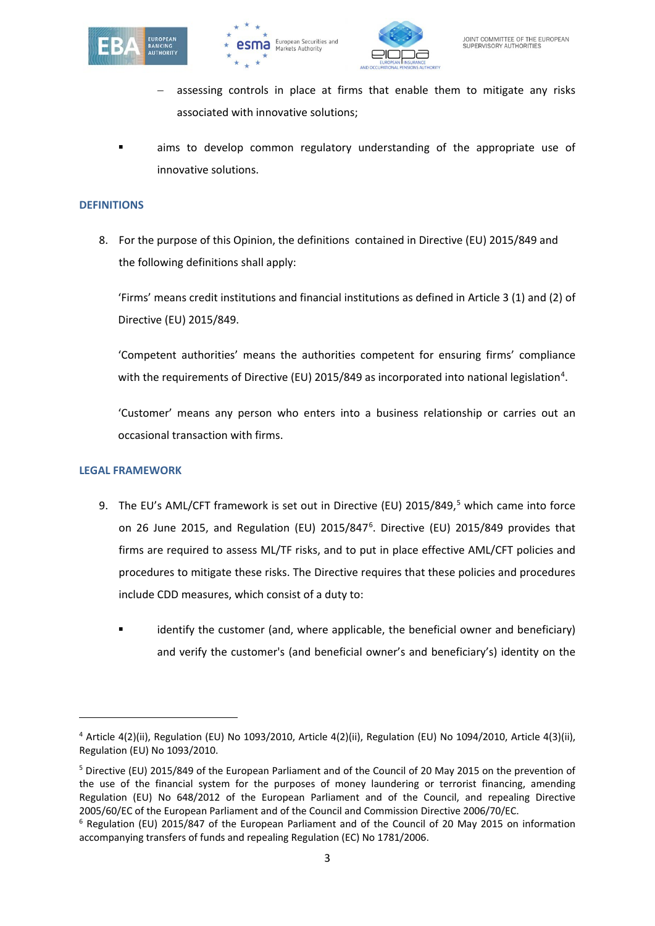





- assessing controls in place at firms that enable them to mitigate any risks associated with innovative solutions;
- aims to develop common regulatory understanding of the appropriate use of innovative solutions.

#### **DEFINITIONS**

8. For the purpose of this Opinion, the definitions contained in Directive (EU) 2015/849 and the following definitions shall apply:

'Firms' means credit institutions and financial institutions as defined in Article 3 (1) and (2) of Directive (EU) 2015/849.

'Competent authorities' means the authorities competent for ensuring firms' compliance with the requirements of Directive (EU) 2015/8[4](#page-2-0)9 as incorporated into national legislation<sup>4</sup>.

'Customer' means any person who enters into a business relationship or carries out an occasional transaction with firms.

#### **LEGAL FRAMEWORK**

- 9. The EU's AML/CFT framework is set out in Directive (EU) 201[5](#page-2-1)/849,<sup>5</sup> which came into force on 2[6](#page-2-2) June 2015, and Regulation (EU) 2015/847 $<sup>6</sup>$ . Directive (EU) 2015/849 provides that</sup> firms are required to assess ML/TF risks, and to put in place effective AML/CFT policies and procedures to mitigate these risks. The Directive requires that these policies and procedures include CDD measures, which consist of a duty to:
	- identify the customer (and, where applicable, the beneficial owner and beneficiary) and verify the customer's (and beneficial owner's and beneficiary's) identity on the

<span id="page-2-0"></span><sup>4</sup> Article 4(2)(ii), Regulation (EU) No 1093/2010, Article 4(2)(ii), Regulation (EU) No 1094/2010, Article 4(3)(ii), Regulation (EU) No 1093/2010.

<span id="page-2-1"></span><sup>5</sup> Directive (EU) 2015/849 of the European Parliament and of the Council of 20 May 2015 on the prevention of the use of the financial system for the purposes of money laundering or terrorist financing, amending Regulation (EU) No 648/2012 of the European Parliament and of the Council, and repealing Directive 2005/60/EC of the European Parliament and of the Council and Commission Directive 2006/70/EC.

<span id="page-2-2"></span><sup>6</sup> Regulation (EU) 2015/847 of the European Parliament and of the Council of 20 May 2015 on information accompanying transfers of funds and repealing Regulation (EC) No 1781/2006.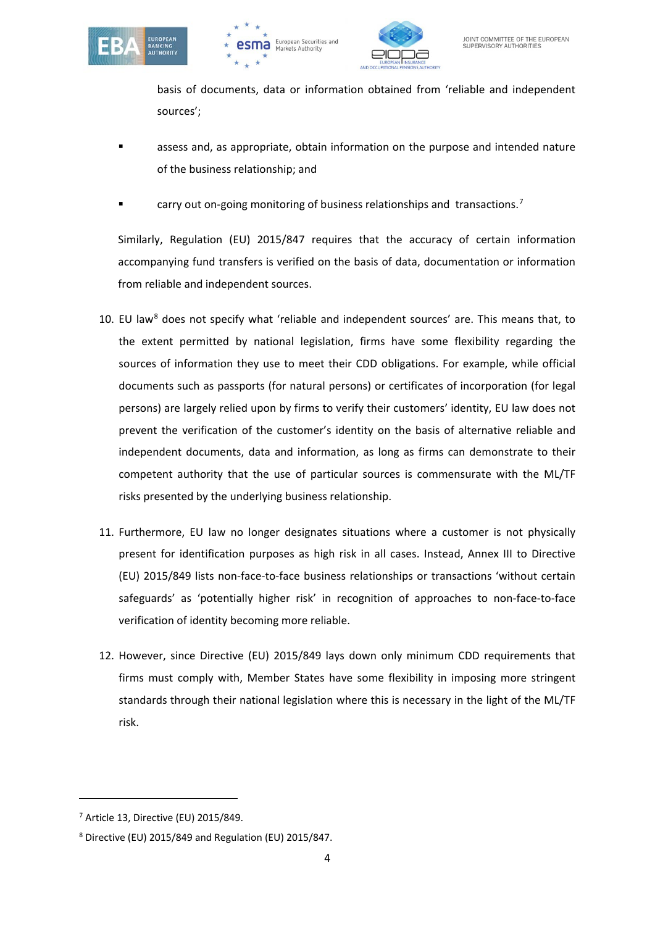





basis of documents, data or information obtained from 'reliable and independent sources';

- assess and, as appropriate, obtain information on the purpose and intended nature of the business relationship; and
- **Example 2** carry out on-going monitoring of business relationships and transactions.<sup>[7](#page-3-0)</sup>

Similarly, Regulation (EU) 2015/847 requires that the accuracy of certain information accompanying fund transfers is verified on the basis of data, documentation or information from reliable and independent sources.

- 10. EU law<sup>[8](#page-3-1)</sup> does not specify what 'reliable and independent sources' are. This means that, to the extent permitted by national legislation, firms have some flexibility regarding the sources of information they use to meet their CDD obligations. For example, while official documents such as passports (for natural persons) or certificates of incorporation (for legal persons) are largely relied upon by firms to verify their customers' identity, EU law does not prevent the verification of the customer's identity on the basis of alternative reliable and independent documents, data and information, as long as firms can demonstrate to their competent authority that the use of particular sources is commensurate with the ML/TF risks presented by the underlying business relationship.
- 11. Furthermore, EU law no longer designates situations where a customer is not physically present for identification purposes as high risk in all cases. Instead, Annex III to Directive (EU) 2015/849 lists non-face-to-face business relationships or transactions 'without certain safeguards' as 'potentially higher risk' in recognition of approaches to non-face-to-face verification of identity becoming more reliable.
- 12. However, since Directive (EU) 2015/849 lays down only minimum CDD requirements that firms must comply with, Member States have some flexibility in imposing more stringent standards through their national legislation where this is necessary in the light of the ML/TF risk.

<span id="page-3-0"></span><sup>7</sup> Article 13, Directive (EU) 2015/849.

<span id="page-3-1"></span><sup>8</sup> Directive (EU) 2015/849 and Regulation (EU) 2015/847.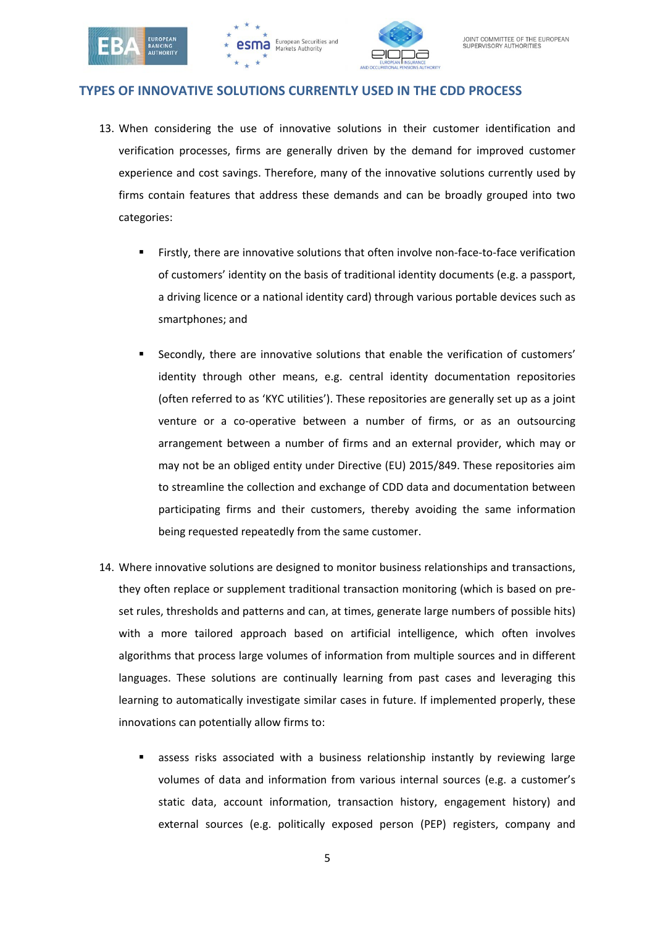





#### **TYPES OF INNOVATIVE SOLUTIONS CURRENTLY USED IN THE CDD PROCESS**

- 13. When considering the use of innovative solutions in their customer identification and verification processes, firms are generally driven by the demand for improved customer experience and cost savings. Therefore, many of the innovative solutions currently used by firms contain features that address these demands and can be broadly grouped into two categories:
	- Firstly, there are innovative solutions that often involve non-face-to-face verification of customers' identity on the basis of traditional identity documents (e.g. a passport, a driving licence or a national identity card) through various portable devices such as smartphones; and
	- Secondly, there are innovative solutions that enable the verification of customers' identity through other means, e.g. central identity documentation repositories (often referred to as 'KYC utilities'). These repositories are generally set up as a joint venture or a co-operative between a number of firms, or as an outsourcing arrangement between a number of firms and an external provider, which may or may not be an obliged entity under Directive (EU) 2015/849. These repositories aim to streamline the collection and exchange of CDD data and documentation between participating firms and their customers, thereby avoiding the same information being requested repeatedly from the same customer.
- 14. Where innovative solutions are designed to monitor business relationships and transactions, they often replace or supplement traditional transaction monitoring (which is based on preset rules, thresholds and patterns and can, at times, generate large numbers of possible hits) with a more tailored approach based on artificial intelligence, which often involves algorithms that process large volumes of information from multiple sources and in different languages. These solutions are continually learning from past cases and leveraging this learning to automatically investigate similar cases in future. If implemented properly, these innovations can potentially allow firms to:
	- assess risks associated with a business relationship instantly by reviewing large volumes of data and information from various internal sources (e.g. a customer's static data, account information, transaction history, engagement history) and external sources (e.g. politically exposed person (PEP) registers, company and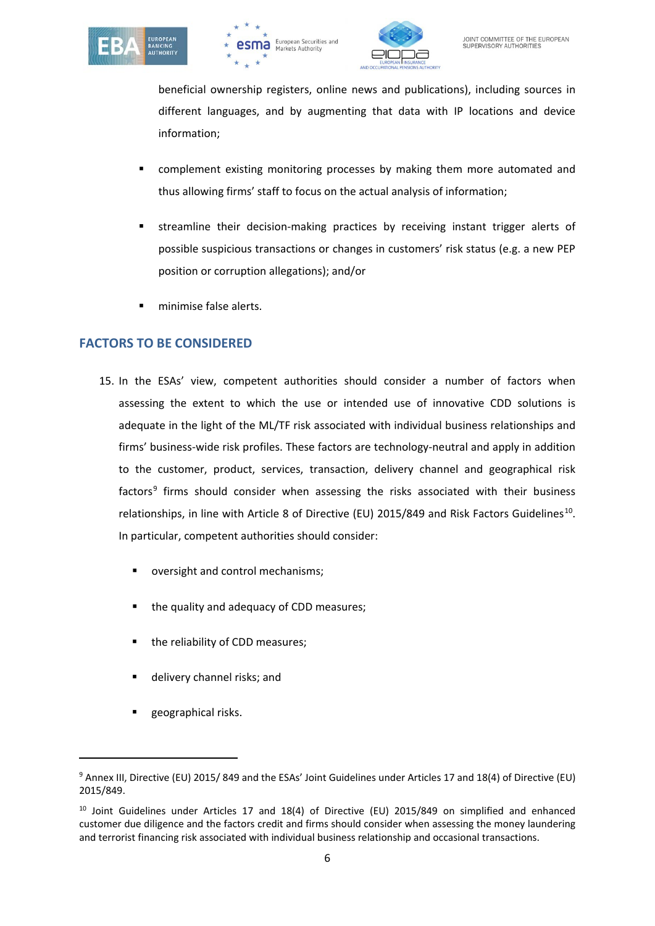





beneficial ownership registers, online news and publications), including sources in different languages, and by augmenting that data with IP locations and device information;

- complement existing monitoring processes by making them more automated and thus allowing firms' staff to focus on the actual analysis of information;
- streamline their decision-making practices by receiving instant trigger alerts of possible suspicious transactions or changes in customers' risk status (e.g. a new PEP position or corruption allegations); and/or
- minimise false alerts.

## **FACTORS TO BE CONSIDERED**

- 15. In the ESAs' view, competent authorities should consider a number of factors when assessing the extent to which the use or intended use of innovative CDD solutions is adequate in the light of the ML/TF risk associated with individual business relationships and firms' business-wide risk profiles. These factors are technology-neutral and apply in addition to the customer, product, services, transaction, delivery channel and geographical risk factors<sup>[9](#page-5-0)</sup> firms should consider when assessing the risks associated with their business relationships, in line with Article 8 of Directive (EU) 2015/849 and Risk Factors Guidelines<sup>[10](#page-5-1)</sup>. In particular, competent authorities should consider:
	- oversight and control mechanisms;
	- the quality and adequacy of CDD measures;
	- the reliability of CDD measures;
	- delivery channel risks; and
	- geographical risks.

 $\overline{\phantom{a}}$ 

<span id="page-5-0"></span><sup>9</sup> Annex III, Directive (EU) 2015/ 849 and the ESAs' Joint Guidelines under Articles 17 and 18(4) of Directive (EU) 2015/849.

<span id="page-5-1"></span><sup>&</sup>lt;sup>10</sup> Joint Guidelines under Articles 17 and 18(4) of Directive (EU) 2015/849 on simplified and enhanced customer due diligence and the factors credit and firms should consider when assessing the money laundering and terrorist financing risk associated with individual business relationship and occasional transactions.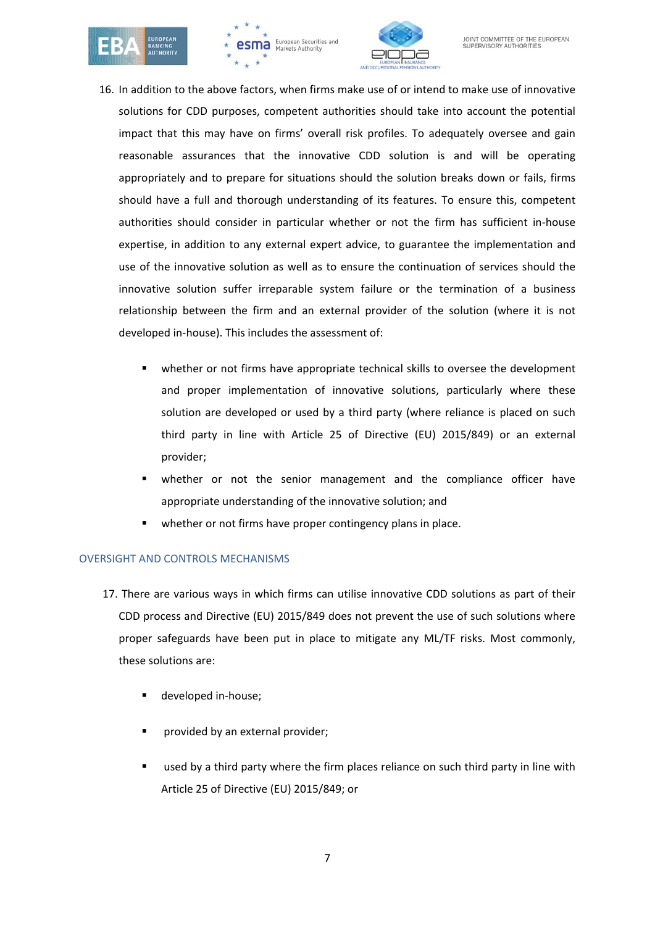





- 16. In addition to the above factors, when firms make use of or intend to make use of innovative solutions for CDD purposes, competent authorities should take into account the potential impact that this may have on firms' overall risk profiles. To adequately oversee and gain reasonable assurances that the innovative CDD solution is and will be operating appropriately and to prepare for situations should the solution breaks down or fails, firms should have a full and thorough understanding of its features. To ensure this, competent authorities should consider in particular whether or not the firm has sufficient in-house expertise, in addition to any external expert advice, to guarantee the implementation and use of the innovative solution as well as to ensure the continuation of services should the innovative solution suffer irreparable system failure or the termination of a business relationship between the firm and an external provider of the solution (where it is not developed in-house). This includes the assessment of:
	- whether or not firms have appropriate technical skills to oversee the development and proper implementation of innovative solutions, particularly where these solution are developed or used by a third party (where reliance is placed on such third party in line with Article 25 of Directive (EU) 2015/849) or an external provider;
	- whether or not the senior management and the compliance officer have appropriate understanding of the innovative solution; and
	- whether or not firms have proper contingency plans in place.

## OVERSIGHT AND CONTROLS MECHANISMS

- 17. There are various ways in which firms can utilise innovative CDD solutions as part of their CDD process and Directive (EU) 2015/849 does not prevent the use of such solutions where proper safeguards have been put in place to mitigate any ML/TF risks. Most commonly, these solutions are:
	- **developed in-house;**
	- provided by an external provider;
	- used by a third party where the firm places reliance on such third party in line with Article 25 of Directive (EU) 2015/849; or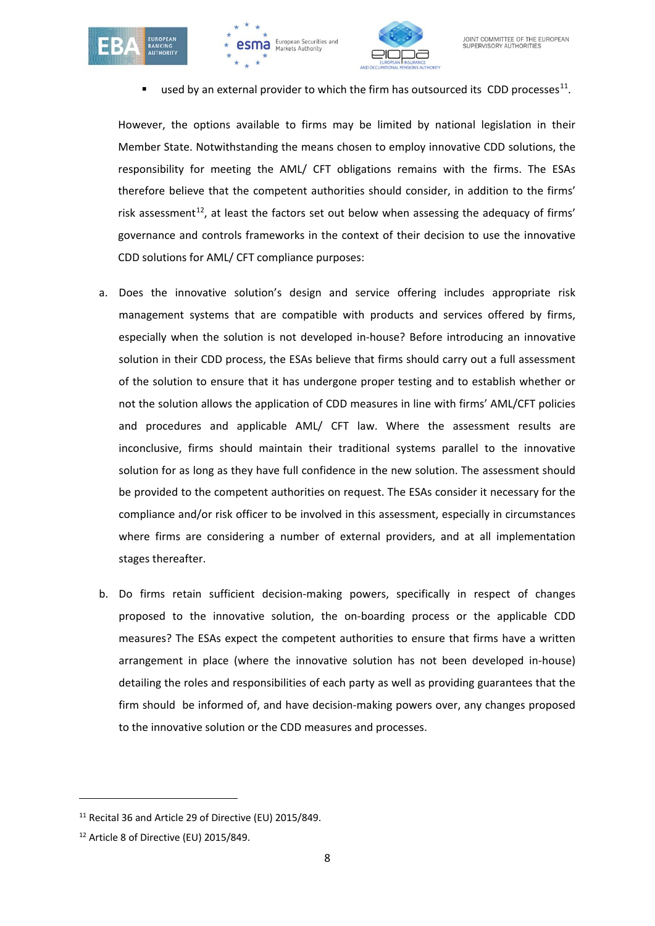





used by an external provider to which the firm has outsourced its CDD processes<sup>[11](#page-7-0)</sup>.

However, the options available to firms may be limited by national legislation in their Member State. Notwithstanding the means chosen to employ innovative CDD solutions, the responsibility for meeting the AML/ CFT obligations remains with the firms. The ESAs therefore believe that the competent authorities should consider, in addition to the firms' risk assessment<sup>12</sup>, at least the factors set out below when assessing the adequacy of firms' governance and controls frameworks in the context of their decision to use the innovative CDD solutions for AML/ CFT compliance purposes:

- a. Does the innovative solution's design and service offering includes appropriate risk management systems that are compatible with products and services offered by firms, especially when the solution is not developed in-house? Before introducing an innovative solution in their CDD process, the ESAs believe that firms should carry out a full assessment of the solution to ensure that it has undergone proper testing and to establish whether or not the solution allows the application of CDD measures in line with firms' AML/CFT policies and procedures and applicable AML/ CFT law. Where the assessment results are inconclusive, firms should maintain their traditional systems parallel to the innovative solution for as long as they have full confidence in the new solution. The assessment should be provided to the competent authorities on request. The ESAs consider it necessary for the compliance and/or risk officer to be involved in this assessment, especially in circumstances where firms are considering a number of external providers, and at all implementation stages thereafter.
- b. Do firms retain sufficient decision-making powers, specifically in respect of changes proposed to the innovative solution, the on-boarding process or the applicable CDD measures? The ESAs expect the competent authorities to ensure that firms have a written arrangement in place (where the innovative solution has not been developed in-house) detailing the roles and responsibilities of each party as well as providing guarantees that the firm should be informed of, and have decision-making powers over, any changes proposed to the innovative solution or the CDD measures and processes.

<span id="page-7-0"></span><sup>11</sup> Recital 36 and Article 29 of Directive (EU) 2015/849.

<span id="page-7-1"></span><sup>12</sup> Article 8 of Directive (EU) 2015/849.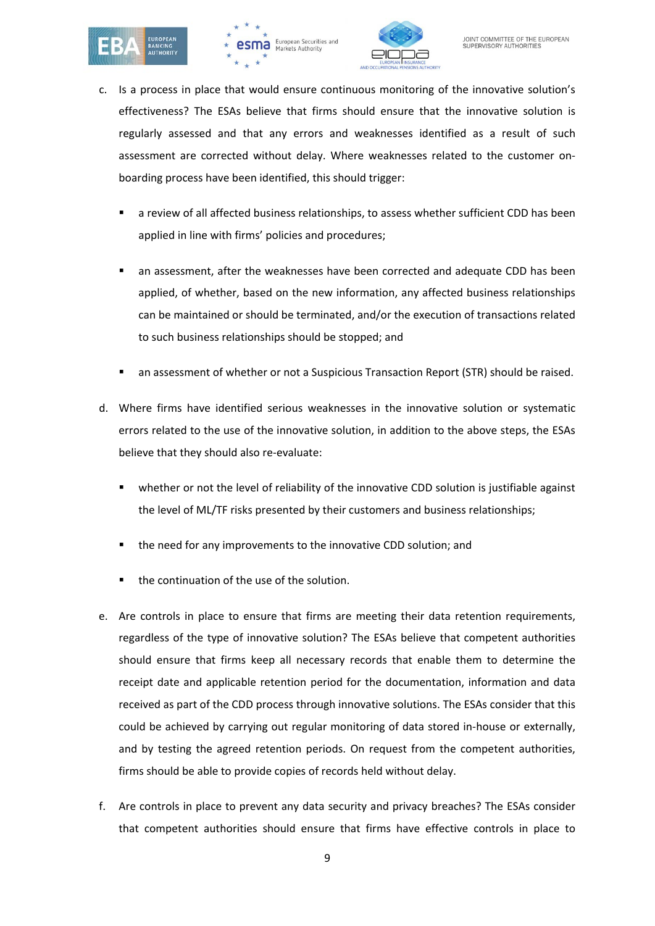





- c. Is a process in place that would ensure continuous monitoring of the innovative solution's effectiveness? The ESAs believe that firms should ensure that the innovative solution is regularly assessed and that any errors and weaknesses identified as a result of such assessment are corrected without delay. Where weaknesses related to the customer onboarding process have been identified, this should trigger:
	- a review of all affected business relationships, to assess whether sufficient CDD has been applied in line with firms' policies and procedures;
	- an assessment, after the weaknesses have been corrected and adequate CDD has been applied, of whether, based on the new information, any affected business relationships can be maintained or should be terminated, and/or the execution of transactions related to such business relationships should be stopped; and
	- an assessment of whether or not a Suspicious Transaction Report (STR) should be raised.
- d. Where firms have identified serious weaknesses in the innovative solution or systematic errors related to the use of the innovative solution, in addition to the above steps, the ESAs believe that they should also re-evaluate:
	- whether or not the level of reliability of the innovative CDD solution is justifiable against the level of ML/TF risks presented by their customers and business relationships;
	- the need for any improvements to the innovative CDD solution; and
	- the continuation of the use of the solution.
- e. Are controls in place to ensure that firms are meeting their data retention requirements, regardless of the type of innovative solution? The ESAs believe that competent authorities should ensure that firms keep all necessary records that enable them to determine the receipt date and applicable retention period for the documentation, information and data received as part of the CDD process through innovative solutions. The ESAs consider that this could be achieved by carrying out regular monitoring of data stored in-house or externally, and by testing the agreed retention periods. On request from the competent authorities, firms should be able to provide copies of records held without delay.
- f. Are controls in place to prevent any data security and privacy breaches? The ESAs consider that competent authorities should ensure that firms have effective controls in place to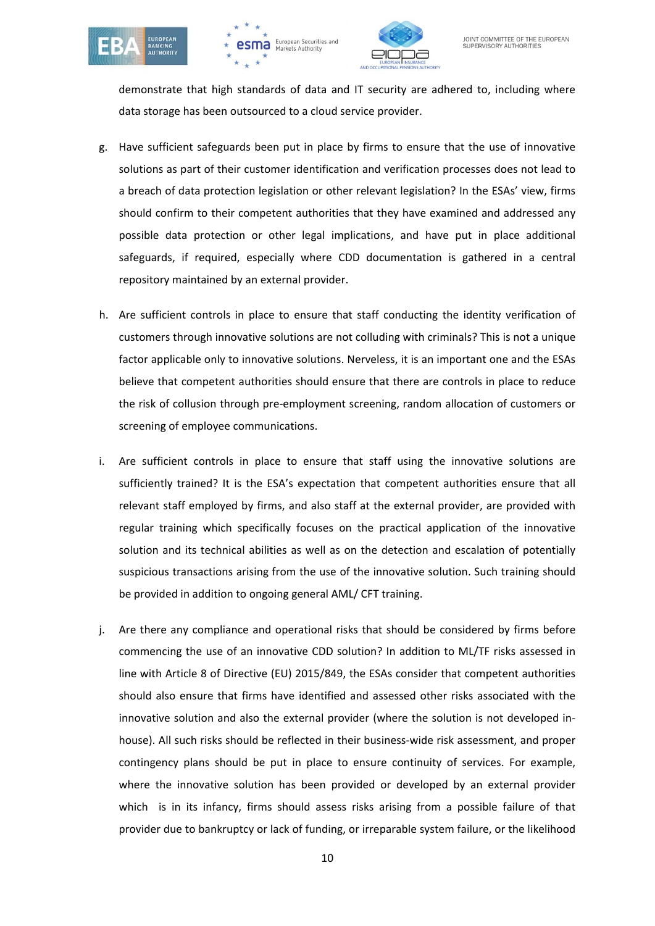





demonstrate that high standards of data and IT security are adhered to, including where data storage has been outsourced to a cloud service provider.

- g. Have sufficient safeguards been put in place by firms to ensure that the use of innovative solutions as part of their customer identification and verification processes does not lead to a breach of data protection legislation or other relevant legislation? In the ESAs' view, firms should confirm to their competent authorities that they have examined and addressed any possible data protection or other legal implications, and have put in place additional safeguards, if required, especially where CDD documentation is gathered in a central repository maintained by an external provider.
- h. Are sufficient controls in place to ensure that staff conducting the identity verification of customers through innovative solutions are not colluding with criminals? This is not a unique factor applicable only to innovative solutions. Nerveless, it is an important one and the ESAs believe that competent authorities should ensure that there are controls in place to reduce the risk of collusion through pre-employment screening, random allocation of customers or screening of employee communications.
- i. Are sufficient controls in place to ensure that staff using the innovative solutions are sufficiently trained? It is the ESA's expectation that competent authorities ensure that all relevant staff employed by firms, and also staff at the external provider, are provided with regular training which specifically focuses on the practical application of the innovative solution and its technical abilities as well as on the detection and escalation of potentially suspicious transactions arising from the use of the innovative solution. Such training should be provided in addition to ongoing general AML/ CFT training.
- j. Are there any compliance and operational risks that should be considered by firms before commencing the use of an innovative CDD solution? In addition to ML/TF risks assessed in line with Article 8 of Directive (EU) 2015/849, the ESAs consider that competent authorities should also ensure that firms have identified and assessed other risks associated with the innovative solution and also the external provider (where the solution is not developed inhouse). All such risks should be reflected in their business-wide risk assessment, and proper contingency plans should be put in place to ensure continuity of services. For example, where the innovative solution has been provided or developed by an external provider which is in its infancy, firms should assess risks arising from a possible failure of that provider due to bankruptcy or lack of funding, or irreparable system failure, or the likelihood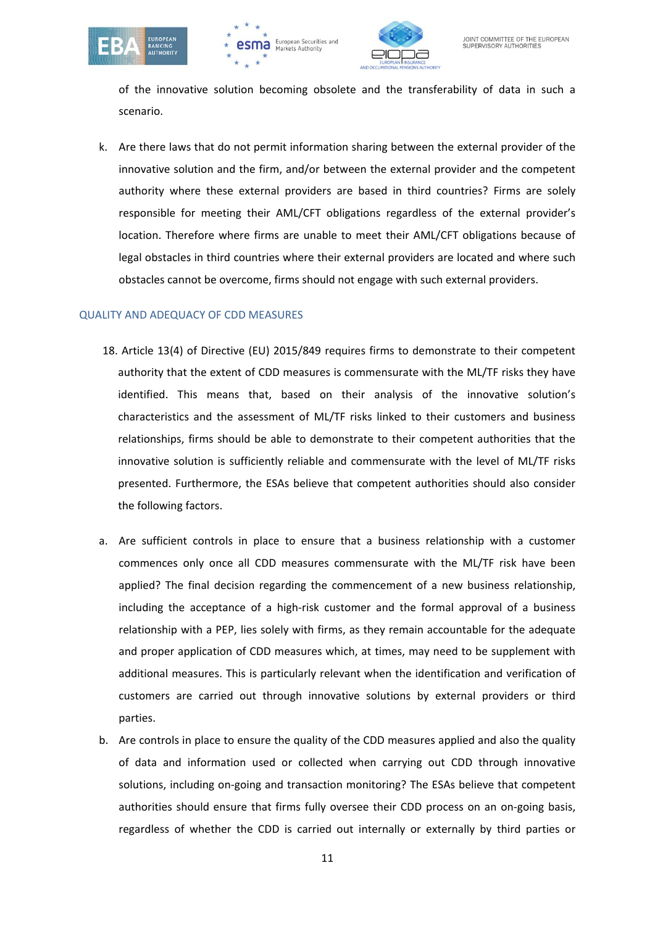





of the innovative solution becoming obsolete and the transferability of data in such a scenario.

k. Are there laws that do not permit information sharing between the external provider of the innovative solution and the firm, and/or between the external provider and the competent authority where these external providers are based in third countries? Firms are solely responsible for meeting their AML/CFT obligations regardless of the external provider's location. Therefore where firms are unable to meet their AML/CFT obligations because of legal obstacles in third countries where their external providers are located and where such obstacles cannot be overcome, firms should not engage with such external providers.

#### QUALITY AND ADEQUACY OF CDD MEASURES

- 18. Article 13(4) of Directive (EU) 2015/849 requires firms to demonstrate to their competent authority that the extent of CDD measures is commensurate with the ML/TF risks they have identified. This means that, based on their analysis of the innovative solution's characteristics and the assessment of ML/TF risks linked to their customers and business relationships, firms should be able to demonstrate to their competent authorities that the innovative solution is sufficiently reliable and commensurate with the level of ML/TF risks presented. Furthermore, the ESAs believe that competent authorities should also consider the following factors.
- a. Are sufficient controls in place to ensure that a business relationship with a customer commences only once all CDD measures commensurate with the ML/TF risk have been applied? The final decision regarding the commencement of a new business relationship, including the acceptance of a high-risk customer and the formal approval of a business relationship with a PEP, lies solely with firms, as they remain accountable for the adequate and proper application of CDD measures which, at times, may need to be supplement with additional measures. This is particularly relevant when the identification and verification of customers are carried out through innovative solutions by external providers or third parties.
- b. Are controls in place to ensure the quality of the CDD measures applied and also the quality of data and information used or collected when carrying out CDD through innovative solutions, including on-going and transaction monitoring? The ESAs believe that competent authorities should ensure that firms fully oversee their CDD process on an on-going basis, regardless of whether the CDD is carried out internally or externally by third parties or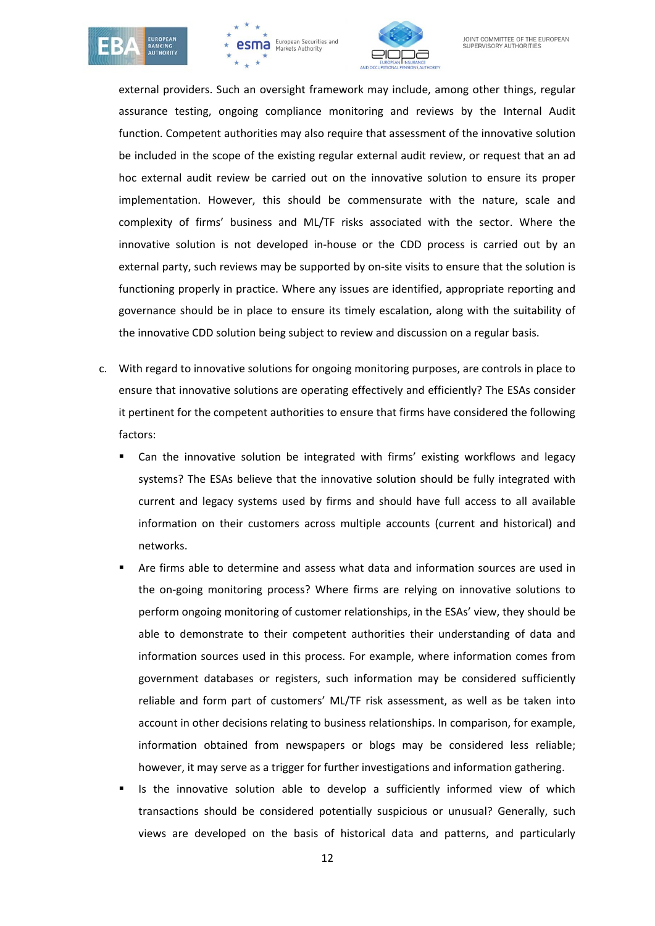





external providers. Such an oversight framework may include, among other things, regular assurance testing, ongoing compliance monitoring and reviews by the Internal Audit function. Competent authorities may also require that assessment of the innovative solution be included in the scope of the existing regular external audit review, or request that an ad hoc external audit review be carried out on the innovative solution to ensure its proper implementation. However, this should be commensurate with the nature, scale and complexity of firms' business and ML/TF risks associated with the sector. Where the innovative solution is not developed in-house or the CDD process is carried out by an external party, such reviews may be supported by on-site visits to ensure that the solution is functioning properly in practice. Where any issues are identified, appropriate reporting and governance should be in place to ensure its timely escalation, along with the suitability of the innovative CDD solution being subject to review and discussion on a regular basis.

- c. With regard to innovative solutions for ongoing monitoring purposes, are controls in place to ensure that innovative solutions are operating effectively and efficiently? The ESAs consider it pertinent for the competent authorities to ensure that firms have considered the following factors:
	- Can the innovative solution be integrated with firms' existing workflows and legacy systems? The ESAs believe that the innovative solution should be fully integrated with current and legacy systems used by firms and should have full access to all available information on their customers across multiple accounts (current and historical) and networks.
	- Are firms able to determine and assess what data and information sources are used in the on-going monitoring process? Where firms are relying on innovative solutions to perform ongoing monitoring of customer relationships, in the ESAs' view, they should be able to demonstrate to their competent authorities their understanding of data and information sources used in this process. For example, where information comes from government databases or registers, such information may be considered sufficiently reliable and form part of customers' ML/TF risk assessment, as well as be taken into account in other decisions relating to business relationships. In comparison, for example, information obtained from newspapers or blogs may be considered less reliable; however, it may serve as a trigger for further investigations and information gathering.
	- Is the innovative solution able to develop a sufficiently informed view of which transactions should be considered potentially suspicious or unusual? Generally, such views are developed on the basis of historical data and patterns, and particularly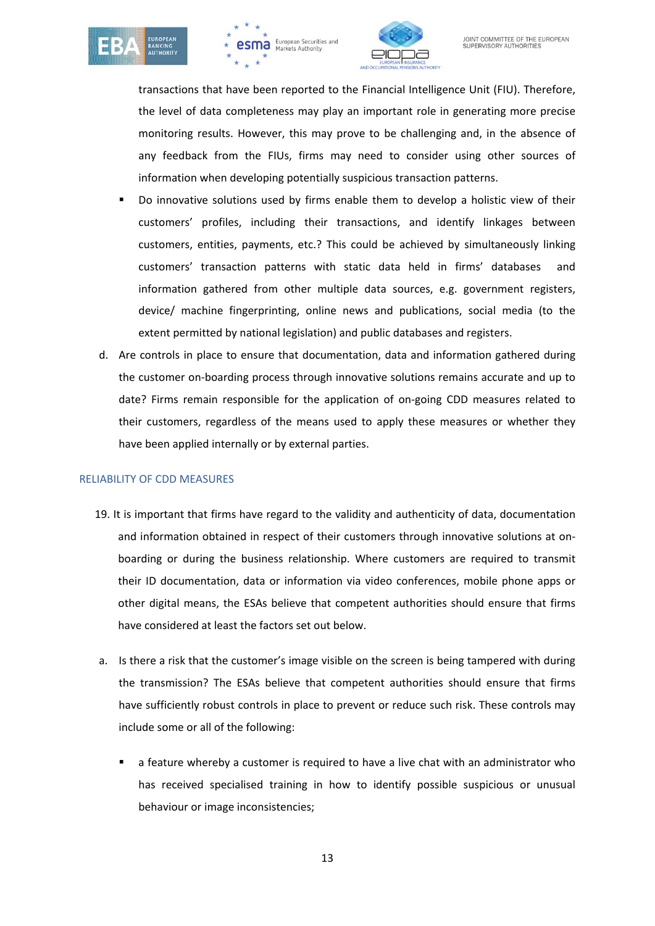





transactions that have been reported to the Financial Intelligence Unit (FIU). Therefore, the level of data completeness may play an important role in generating more precise monitoring results. However, this may prove to be challenging and, in the absence of any feedback from the FIUs, firms may need to consider using other sources of information when developing potentially suspicious transaction patterns.

- Do innovative solutions used by firms enable them to develop a holistic view of their customers' profiles, including their transactions, and identify linkages between customers, entities, payments, etc.? This could be achieved by simultaneously linking customers' transaction patterns with static data held in firms' databases and information gathered from other multiple data sources, e.g. government registers, device/ machine fingerprinting, online news and publications, social media (to the extent permitted by national legislation) and public databases and registers.
- d. Are controls in place to ensure that documentation, data and information gathered during the customer on-boarding process through innovative solutions remains accurate and up to date? Firms remain responsible for the application of on-going CDD measures related to their customers, regardless of the means used to apply these measures or whether they have been applied internally or by external parties.

## RELIABILITY OF CDD MEASURES

- 19. It is important that firms have regard to the validity and authenticity of data, documentation and information obtained in respect of their customers through innovative solutions at onboarding or during the business relationship. Where customers are required to transmit their ID documentation, data or information via video conferences, mobile phone apps or other digital means, the ESAs believe that competent authorities should ensure that firms have considered at least the factors set out below.
- a. Is there a risk that the customer's image visible on the screen is being tampered with during the transmission? The ESAs believe that competent authorities should ensure that firms have sufficiently robust controls in place to prevent or reduce such risk. These controls may include some or all of the following:
	- a feature whereby a customer is required to have a live chat with an administrator who has received specialised training in how to identify possible suspicious or unusual behaviour or image inconsistencies;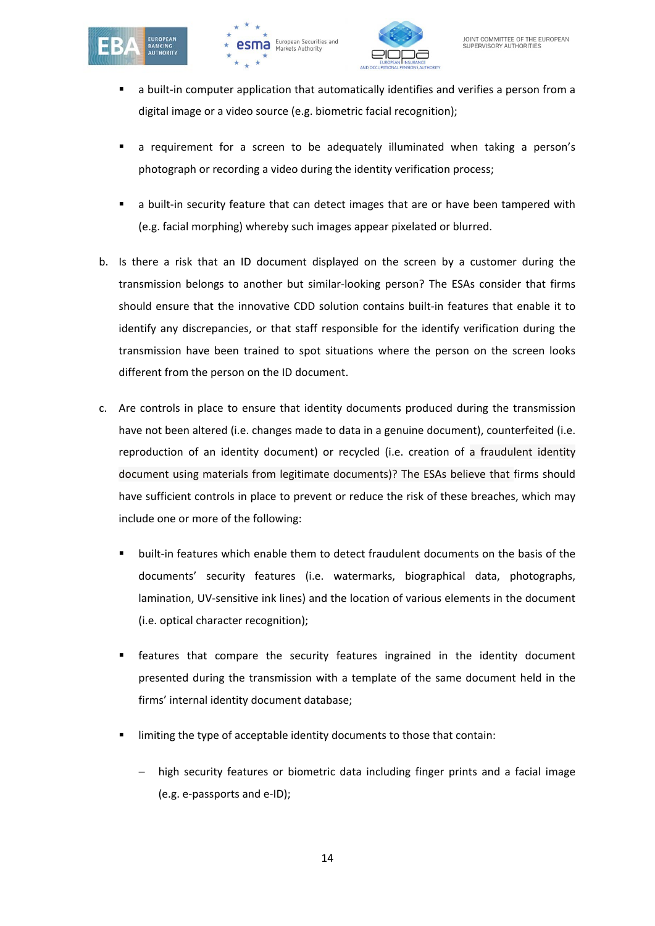





- a built-in computer application that automatically identifies and verifies a person from a digital image or a video source (e.g. biometric facial recognition);
- a requirement for a screen to be adequately illuminated when taking a person's photograph or recording a video during the identity verification process;
- a built-in security feature that can detect images that are or have been tampered with (e.g. facial morphing) whereby such images appear pixelated or blurred.
- b. Is there a risk that an ID document displayed on the screen by a customer during the transmission belongs to another but similar-looking person? The ESAs consider that firms should ensure that the innovative CDD solution contains built-in features that enable it to identify any discrepancies, or that staff responsible for the identify verification during the transmission have been trained to spot situations where the person on the screen looks different from the person on the ID document.
- c. Are controls in place to ensure that identity documents produced during the transmission have not been altered (i.e. changes made to data in a genuine document), counterfeited (i.e. reproduction of an identity document) or recycled (i.e. creation of a fraudulent identity document using materials from legitimate documents)? The ESAs believe that firms should have sufficient controls in place to prevent or reduce the risk of these breaches, which may include one or more of the following:
	- built-in features which enable them to detect fraudulent documents on the basis of the documents' security features (i.e. watermarks, biographical data, photographs, lamination, UV-sensitive ink lines) and the location of various elements in the document (i.e. optical character recognition);
	- features that compare the security features ingrained in the identity document presented during the transmission with a template of the same document held in the firms' internal identity document database;
	- limiting the type of acceptable identity documents to those that contain:
		- high security features or biometric data including finger prints and a facial image (e.g. e-passports and e-ID);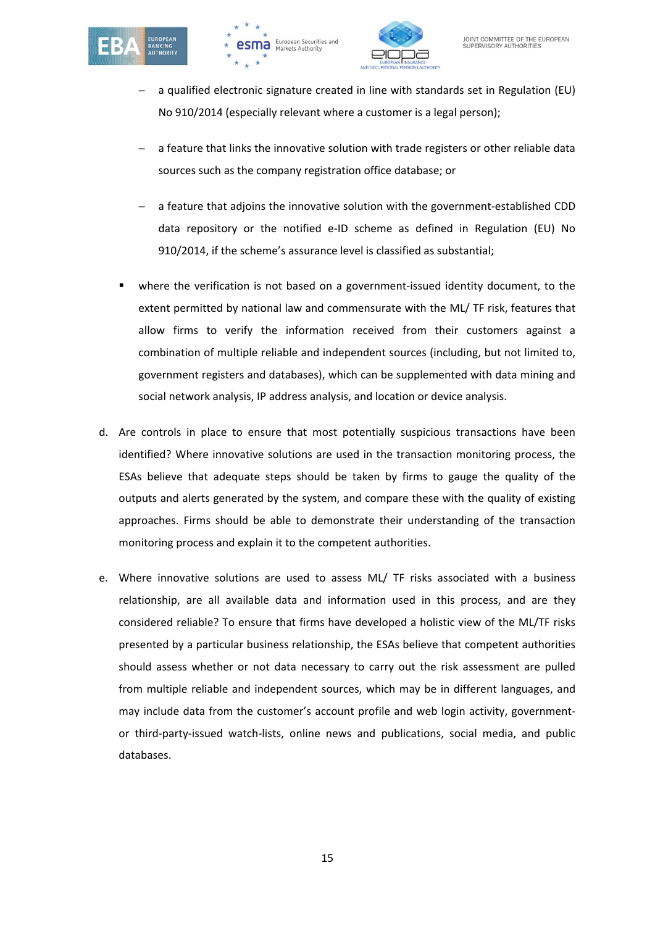





- − a qualified electronic signature created in line with standards set in Regulation (EU) No 910/2014 (especially relevant where a customer is a legal person);
- − a feature that links the innovative solution with trade registers or other reliable data sources such as the company registration office database; or
- − a feature that adjoins the innovative solution with the government-established CDD data repository or the notified e-ID scheme as defined in Regulation (EU) No 910/2014, if the scheme's assurance level is classified as substantial;
- where the verification is not based on a government-issued identity document, to the extent permitted by national law and commensurate with the ML/ TF risk, features that allow firms to verify the information received from their customers against a combination of multiple reliable and independent sources (including, but not limited to, government registers and databases), which can be supplemented with data mining and social network analysis, IP address analysis, and location or device analysis.
- d. Are controls in place to ensure that most potentially suspicious transactions have been identified? Where innovative solutions are used in the transaction monitoring process, the ESAs believe that adequate steps should be taken by firms to gauge the quality of the outputs and alerts generated by the system, and compare these with the quality of existing approaches. Firms should be able to demonstrate their understanding of the transaction monitoring process and explain it to the competent authorities.
- e. Where innovative solutions are used to assess ML/ TF risks associated with a business relationship, are all available data and information used in this process, and are they considered reliable? To ensure that firms have developed a holistic view of the ML/TF risks presented by a particular business relationship, the ESAs believe that competent authorities should assess whether or not data necessary to carry out the risk assessment are pulled from multiple reliable and independent sources, which may be in different languages, and may include data from the customer's account profile and web login activity, governmentor third-party-issued watch-lists, online news and publications, social media, and public databases.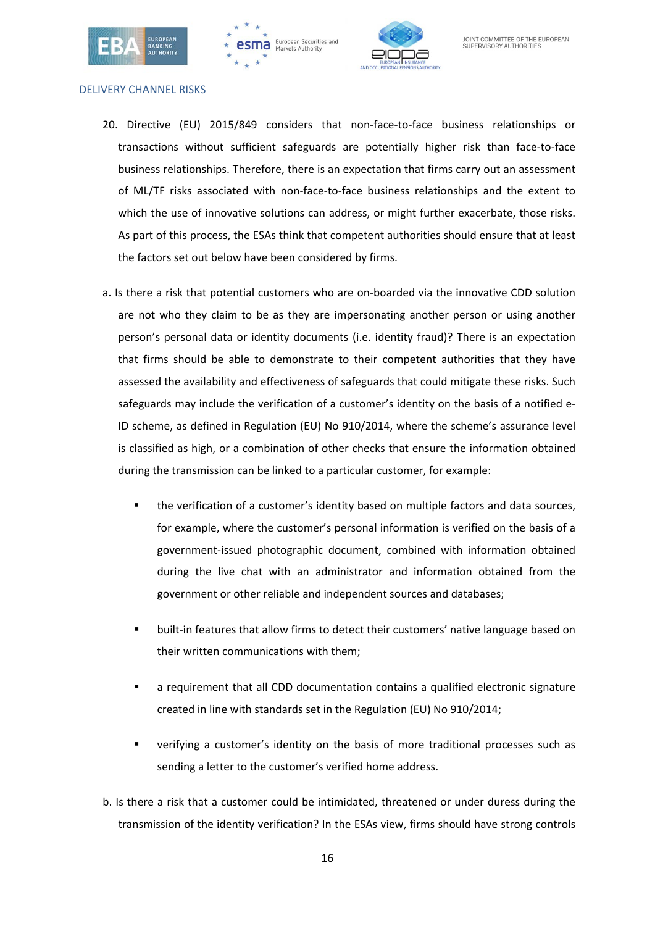





#### DELIVERY CHANNEL RISKS

- 20. Directive (EU) 2015/849 considers that non-face-to-face business relationships or transactions without sufficient safeguards are potentially higher risk than face-to-face business relationships. Therefore, there is an expectation that firms carry out an assessment of ML/TF risks associated with non-face-to-face business relationships and the extent to which the use of innovative solutions can address, or might further exacerbate, those risks. As part of this process, the ESAs think that competent authorities should ensure that at least the factors set out below have been considered by firms.
- a. Is there a risk that potential customers who are on-boarded via the innovative CDD solution are not who they claim to be as they are impersonating another person or using another person's personal data or identity documents (i.e. identity fraud)? There is an expectation that firms should be able to demonstrate to their competent authorities that they have assessed the availability and effectiveness of safeguards that could mitigate these risks. Such safeguards may include the verification of a customer's identity on the basis of a notified e-ID scheme, as defined in Regulation (EU) No 910/2014, where the scheme's assurance level is classified as high, or a combination of other checks that ensure the information obtained during the transmission can be linked to a particular customer, for example:
	- the verification of a customer's identity based on multiple factors and data sources, for example, where the customer's personal information is verified on the basis of a government-issued photographic document, combined with information obtained during the live chat with an administrator and information obtained from the government or other reliable and independent sources and databases;
	- built-in features that allow firms to detect their customers' native language based on their written communications with them;
	- a requirement that all CDD documentation contains a qualified electronic signature created in line with standards set in the Regulation (EU) No 910/2014;
	- verifying a customer's identity on the basis of more traditional processes such as sending a letter to the customer's verified home address.
- b. Is there a risk that a customer could be intimidated, threatened or under duress during the transmission of the identity verification? In the ESAs view, firms should have strong controls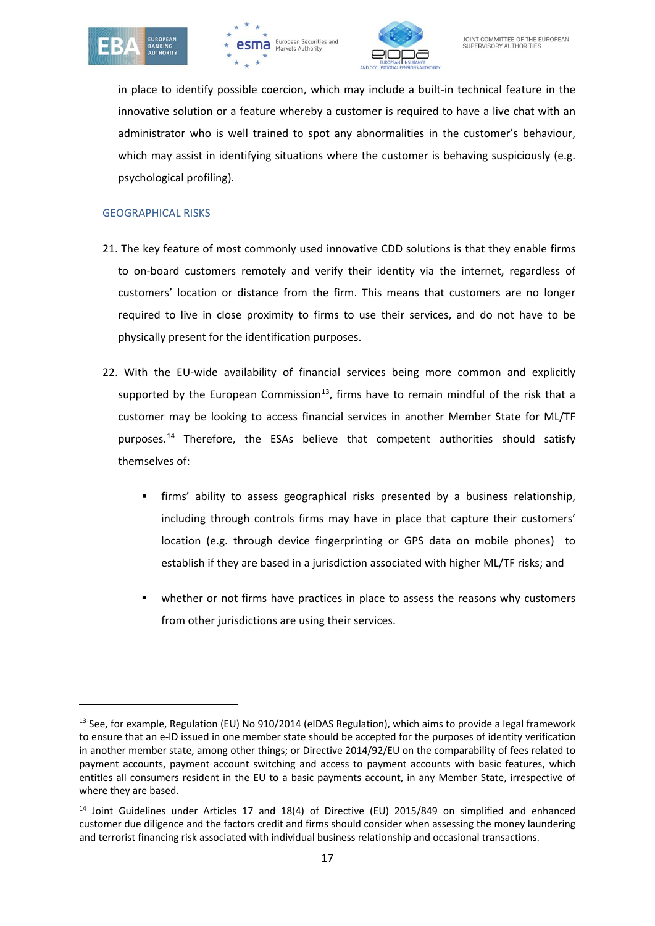





in place to identify possible coercion, which may include a built-in technical feature in the innovative solution or a feature whereby a customer is required to have a live chat with an administrator who is well trained to spot any abnormalities in the customer's behaviour, which may assist in identifying situations where the customer is behaving suspiciously (e.g. psychological profiling).

#### GEOGRAPHICAL RISKS

- 21. The key feature of most commonly used innovative CDD solutions is that they enable firms to on-board customers remotely and verify their identity via the internet, regardless of customers' location or distance from the firm. This means that customers are no longer required to live in close proximity to firms to use their services, and do not have to be physically present for the identification purposes.
- 22. With the EU-wide availability of financial services being more common and explicitly supported by the European Commission<sup>13</sup>, firms have to remain mindful of the risk that a customer may be looking to access financial services in another Member State for ML/TF purposes.<sup>[14](#page-16-1)</sup> Therefore, the ESAs believe that competent authorities should satisfy themselves of:
	- firms' ability to assess geographical risks presented by a business relationship, including through controls firms may have in place that capture their customers' location (e.g. through device fingerprinting or GPS data on mobile phones) to establish if they are based in a jurisdiction associated with higher ML/TF risks; and
	- whether or not firms have practices in place to assess the reasons why customers from other jurisdictions are using their services.

<span id="page-16-0"></span><sup>&</sup>lt;sup>13</sup> See, for example, Regulation (EU) No 910/2014 (eIDAS Regulation), which aims to provide a legal framework to ensure that an e-ID issued in one member state should be accepted for the purposes of identity verification in another member state, among other things; or Directive 2014/92/EU on the comparability of fees related to payment accounts, payment account switching and access to payment accounts with basic features, which entitles all consumers resident in the EU to a basic payments account, in any Member State, irrespective of where they are based.

<span id="page-16-1"></span><sup>&</sup>lt;sup>14</sup> Joint Guidelines under Articles 17 and 18(4) of Directive (EU) 2015/849 on simplified and enhanced customer due diligence and the factors credit and firms should consider when assessing the money laundering and terrorist financing risk associated with individual business relationship and occasional transactions.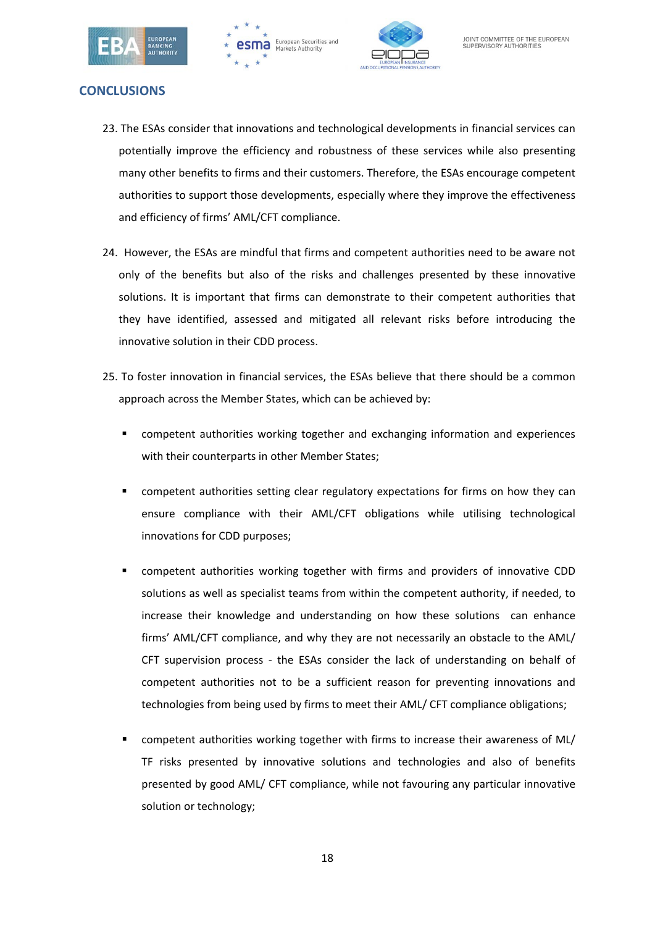





## **CONCLUSIONS**

- 23. The ESAs consider that innovations and technological developments in financial services can potentially improve the efficiency and robustness of these services while also presenting many other benefits to firms and their customers. Therefore, the ESAs encourage competent authorities to support those developments, especially where they improve the effectiveness and efficiency of firms' AML/CFT compliance.
- 24. However, the ESAs are mindful that firms and competent authorities need to be aware not only of the benefits but also of the risks and challenges presented by these innovative solutions. It is important that firms can demonstrate to their competent authorities that they have identified, assessed and mitigated all relevant risks before introducing the innovative solution in their CDD process.
- 25. To foster innovation in financial services, the ESAs believe that there should be a common approach across the Member States, which can be achieved by:
	- competent authorities working together and exchanging information and experiences with their counterparts in other Member States;
	- competent authorities setting clear regulatory expectations for firms on how they can ensure compliance with their AML/CFT obligations while utilising technological innovations for CDD purposes;
	- competent authorities working together with firms and providers of innovative CDD solutions as well as specialist teams from within the competent authority, if needed, to increase their knowledge and understanding on how these solutions can enhance firms' AML/CFT compliance, and why they are not necessarily an obstacle to the AML/ CFT supervision process - the ESAs consider the lack of understanding on behalf of competent authorities not to be a sufficient reason for preventing innovations and technologies from being used by firms to meet their AML/ CFT compliance obligations;
	- competent authorities working together with firms to increase their awareness of ML/ TF risks presented by innovative solutions and technologies and also of benefits presented by good AML/ CFT compliance, while not favouring any particular innovative solution or technology;